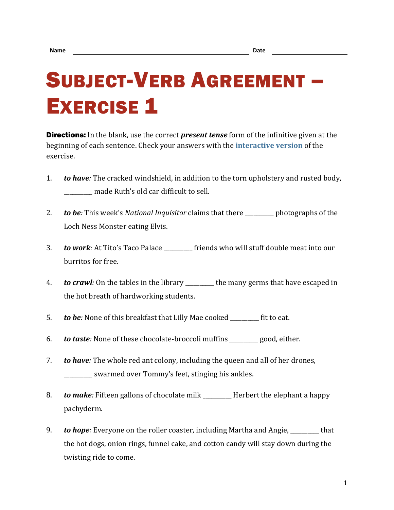## SUBJECT-VERB AGREEMENT – **EXERCISE 1**

Directions: In the blank, use the correct *present tense* form of the infinitive given at the beginning of each sentence. Check your answers with the **[interactive version](https://chompchomp.com/hotpotatoes/sva01.htm)** of the exercise.

- 1. *to have:* The cracked windshield, in addition to the torn upholstery and rusted body, \_\_\_\_\_\_\_\_\_\_ made Ruth's old car difficult to sell.
- 2. *to be:* This week's *National Inquisitor* claims that there \_\_\_\_\_\_\_\_\_\_ photographs of the Loch Ness Monster eating Elvis.
- 3. *to work:* At Tito's Taco Palace \_\_\_\_\_\_\_\_\_\_ friends who will stuff double meat into our burritos for free.
- 4. *to crawl:* On the tables in the library \_\_\_\_\_\_\_\_\_\_ the many germs that have escaped in the hot breath of hardworking students.
- 5. *to be:* None of this breakfast that Lilly Mae cooked \_\_\_\_\_\_\_\_\_\_ fit to eat.
- 6. *to taste:* None of these chocolate-broccoli muffins \_\_\_\_\_\_\_\_\_\_ good, either.
- 7. *to have:* The whole red ant colony, including the queen and all of her drones, \_\_\_\_\_\_\_\_\_\_ swarmed over Tommy's feet, stinging his ankles.
- 8. *to make:* Fifteen gallons of chocolate milk \_\_\_\_\_\_\_\_\_\_ Herbert the elephant a happy pachyderm.
- 9. **to hope**: Everyone on the roller coaster, including Martha and Angie, that the hot dogs, onion rings, funnel cake, and cotton candy will stay down during the twisting ride to come.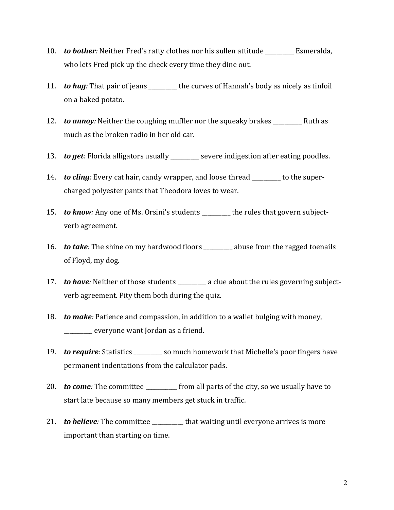- 10. **to bother**: Neither Fred's ratty clothes nor his sullen attitude Esmeralda, who lets Fred pick up the check every time they dine out.
- 11. *to hug:* That pair of jeans \_\_\_\_\_\_\_\_\_\_ the curves of Hannah's body as nicely as tinfoil on a baked potato.
- 12. *to annoy:* Neither the coughing muffler nor the squeaky brakes \_\_\_\_\_\_\_\_\_\_\_ Ruth as much as the broken radio in her old car.
- 13. *to get:* Florida alligators usually \_\_\_\_\_\_\_\_ severe indigestion after eating poodles.
- 14. *to cling:* Every cat hair, candy wrapper, and loose thread \_\_\_\_\_\_\_\_\_\_ to the supercharged polyester pants that Theodora loves to wear.
- 15. *to know:* Any one of Ms. Orsini's students \_\_\_\_\_\_\_\_ the rules that govern subjectverb agreement.
- 16. *to take:* The shine on my hardwood floors \_\_\_\_\_\_\_\_\_\_ abuse from the ragged toenails of Floyd, my dog.
- 17. *to have*: Neither of those students \_\_\_\_\_\_\_\_ a clue about the rules governing subjectverb agreement. Pity them both during the quiz.
- 18. *to make:* Patience and compassion, in addition to a wallet bulging with money, \_\_\_\_\_\_\_\_\_\_ everyone want Jordan as a friend.
- 19. *to require:* Statistics \_\_\_\_\_\_\_\_ so much homework that Michelle's poor fingers have permanent indentations from the calculator pads.
- 20. **to come**: The committee from all parts of the city, so we usually have to start late because so many members get stuck in traffic.
- 21. *to believe:* The committee \_\_\_\_\_\_\_\_ that waiting until everyone arrives is more important than starting on time.